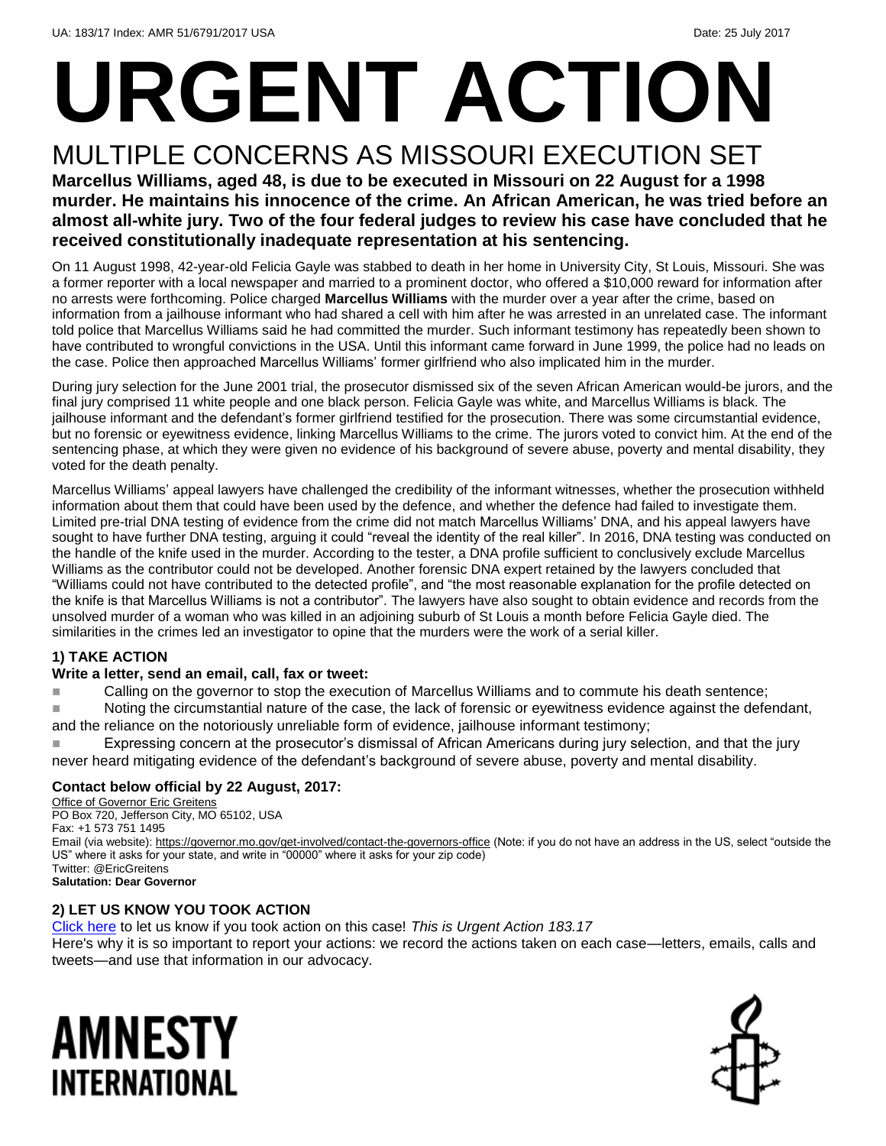# **URGENT ACTION**

### MULTIPLE CONCERNS AS MISSOURI EXECUTION SET

**Marcellus Williams, aged 48, is due to be executed in Missouri on 22 August for a 1998 murder. He maintains his innocence of the crime. An African American, he was tried before an almost all-white jury. Two of the four federal judges to review his case have concluded that he received constitutionally inadequate representation at his sentencing.**

On 11 August 1998, 42-year-old Felicia Gayle was stabbed to death in her home in University City, St Louis, Missouri. She was a former reporter with a local newspaper and married to a prominent doctor, who offered a \$10,000 reward for information after no arrests were forthcoming. Police charged **Marcellus Williams** with the murder over a year after the crime, based on information from a jailhouse informant who had shared a cell with him after he was arrested in an unrelated case. The informant told police that Marcellus Williams said he had committed the murder. Such informant testimony has repeatedly been shown to have contributed to wrongful convictions in the USA. Until this informant came forward in June 1999, the police had no leads on the case. Police then approached Marcellus Williams' former girlfriend who also implicated him in the murder.

During jury selection for the June 2001 trial, the prosecutor dismissed six of the seven African American would-be jurors, and the final jury comprised 11 white people and one black person. Felicia Gayle was white, and Marcellus Williams is black. The jailhouse informant and the defendant's former girlfriend testified for the prosecution. There was some circumstantial evidence, but no forensic or eyewitness evidence, linking Marcellus Williams to the crime. The jurors voted to convict him. At the end of the sentencing phase, at which they were given no evidence of his background of severe abuse, poverty and mental disability, they voted for the death penalty.

Marcellus Williams' appeal lawyers have challenged the credibility of the informant witnesses, whether the prosecution withheld information about them that could have been used by the defence, and whether the defence had failed to investigate them. Limited pre-trial DNA testing of evidence from the crime did not match Marcellus Williams' DNA, and his appeal lawyers have sought to have further DNA testing, arguing it could "reveal the identity of the real killer". In 2016, DNA testing was conducted on the handle of the knife used in the murder. According to the tester, a DNA profile sufficient to conclusively exclude Marcellus Williams as the contributor could not be developed. Another forensic DNA expert retained by the lawyers concluded that "Williams could not have contributed to the detected profile", and "the most reasonable explanation for the profile detected on the knife is that Marcellus Williams is not a contributor". The lawyers have also sought to obtain evidence and records from the unsolved murder of a woman who was killed in an adjoining suburb of St Louis a month before Felicia Gayle died. The similarities in the crimes led an investigator to opine that the murders were the work of a serial killer.

#### **1) TAKE ACTION**

#### **Write a letter, send an email, call, fax or tweet:**

**Calling on the governor to stop the execution of Marcellus Williams and to commute his death sentence;** 

■ Noting the circumstantial nature of the case, the lack of forensic or eyewitness evidence against the defendant, and the reliance on the notoriously unreliable form of evidence, jailhouse informant testimony;

■■■■Expressing concern at the prosecutor's dismissal of African Americans during jury selection, and that the jury never heard mitigating evidence of the defendant's background of severe abuse, poverty and mental disability.

#### **Contact below official by 22 August, 2017:**

Office of Governor Eric Greitens PO Box 720, Jefferson City, MO 65102, USA Fax: +1 573 751 1495 Email (via website): <https://governor.mo.gov/get-involved/contact-the-governors-office> (Note: if you do not have an address in the US, select "outside the US" where it asks for your state, and write in "00000" where it asks for your zip code) Twitter: @EricGreitens **Salutation: Dear Governor**

#### **2) LET US KNOW YOU TOOK ACTION**

[Click here](https://docs.google.com/forms/d/e/1FAIpQLSf3RUspces4lA9Gt7Fp9GiAcojCs6fnfFOTCLli3Su6c3S8ew/viewform) to let us know if you took action on this case! *This is Urgent Action 183.17*

Here's why it is so important to report your actions: we record the actions taken on each case—letters, emails, calls and tweets—and use that information in our advocacy.